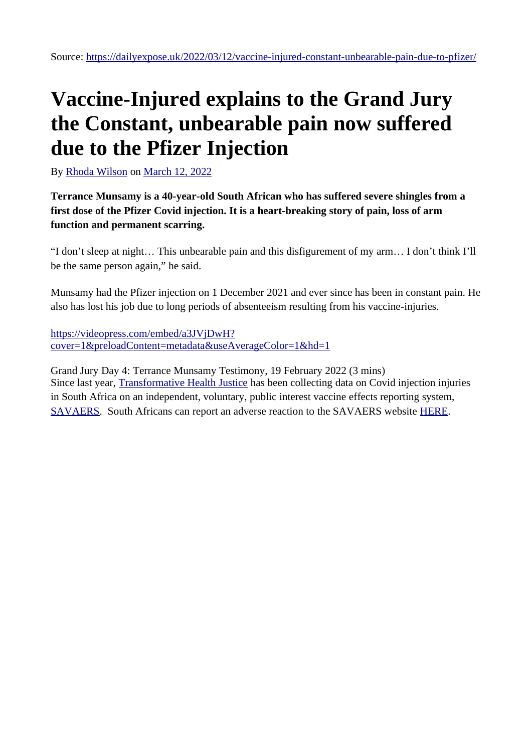### **Vaccine-Injured explains to the Grand Jury the Constant, unbearable pain now suffered due to the Pfizer Injection**

By [Rhoda Wilson](https://dailyexpose.uk/author/rhoda-wilson/) on [March 12, 2022](https://dailyexpose.uk/2022/03/12/vaccine-injured-constant-unbearable-pain-due-to-pfizer/)

**Terrance Munsamy is a 40-year-old South African who has suffered severe shingles from a first dose of the Pfizer Covid injection. It is a heart-breaking story of pain, loss of arm function and permanent scarring.**

"I don't sleep at night… This unbearable pain and this disfigurement of my arm… I don't think I'll be the same person again," he said.

Munsamy had the Pfizer injection on 1 December 2021 and ever since has been in constant pain. He also has lost his job due to long periods of absenteeism resulting from his vaccine-injuries.

[https://videopress.com/embed/a3JVjDwH?](https://videopress.com/embed/a3JVjDwH?cover=1&preloadContent=metadata&useAverageColor=1&hd=1) [cover=1&preloadContent=metadata&useAverageColor=1&hd=1](https://videopress.com/embed/a3JVjDwH?cover=1&preloadContent=metadata&useAverageColor=1&hd=1)

Grand Jury Day 4: Terrance Munsamy Testimony, 19 February 2022 (3 mins) Since last year, **[Transformative Health Justice](https://thj-africa.org.za/)** has been collecting data on Covid injection injuries in South Africa on an independent, voluntary, public interest vaccine effects reporting system, [SAVAERS](https://savaers.co.za/). South Africans can report an adverse reaction to the SAVAERS website [HERE](https://savaers.co.za/reporting-system/).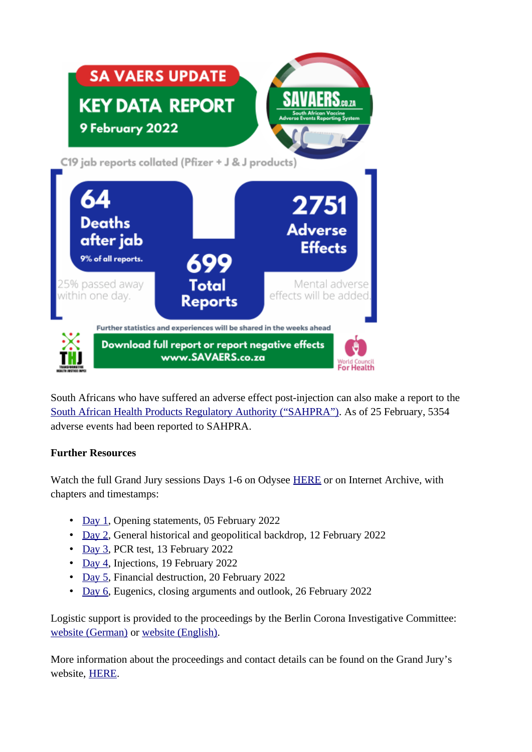

South Africans who have suffered an adverse effect post-injection can also make a report to the [South African Health Products Regulatory Authority \("SAHPRA"\)](https://aefi-reporting.sahpra.org.za/aefis.html). As of 25 February, 5354 adverse events had been reported to SAHPRA.

#### **Further Resources**

Watch the full Grand Jury sessions Days 1-6 on Odysee [HERE](https://odysee.com/@GrandJury:f) or on Internet Archive, with chapters and timestamps:

- • [Day 1](https://archive.org/details/grand_jury_proceeding_date_01), Opening statements, 05 February 2022
- • [Day 2](https://archive.org/details/grand_jury_proceeding_date_02), General historical and geopolitical backdrop, 12 February 2022
- • [Day 3](https://archive.org/details/grand_jury_proceeding_date_03), PCR test, 13 February 2022
- • [Day 4](https://archive.org/details/grand_jury_proceeding_date_04), Injections, 19 February 2022
- • [Day 5](https://archive.org/details/grand-jury-proceeding-date-05-en), Financial destruction, 20 February 2022
- • [Day 6](https://archive.org/details/grand-jury-proceeding-date-06), Eugenics, closing arguments and outlook, 26 February 2022

Logistic support is provided to the proceedings by the Berlin Corona Investigative Committee: [website \(German\)](http://www.corona-ausschuss.de/) or [website \(English\)](https://corona-ausschuss.de/en/).

More information about the proceedings and contact details can be found on the Grand Jury's website, [HERE.](http://www.grand-jury.net/)